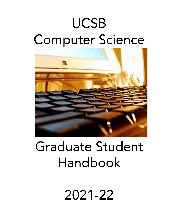# UCSB Computer Science



# Graduate Student Handbook

2021-22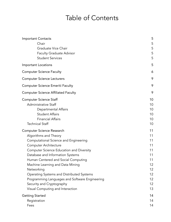# Table of Contents

| <b>Important Contacts</b><br>Chair<br>Graduate Vice Chair<br><b>Faculty Graduate Advisor</b><br><b>Student Services</b>                                                                                                                                                                                                                                                                                                                                                            | 5<br>5<br>5<br>5<br>5                                                      |
|------------------------------------------------------------------------------------------------------------------------------------------------------------------------------------------------------------------------------------------------------------------------------------------------------------------------------------------------------------------------------------------------------------------------------------------------------------------------------------|----------------------------------------------------------------------------|
| <b>Important Locations</b>                                                                                                                                                                                                                                                                                                                                                                                                                                                         | 5                                                                          |
| <b>Computer Science Faculty</b>                                                                                                                                                                                                                                                                                                                                                                                                                                                    | 6                                                                          |
| <b>Computer Science Lecturers</b>                                                                                                                                                                                                                                                                                                                                                                                                                                                  | 9                                                                          |
| <b>Computer Science Emeriti Faculty</b>                                                                                                                                                                                                                                                                                                                                                                                                                                            | 9                                                                          |
| <b>Computer Science Affiliated Faculty</b>                                                                                                                                                                                                                                                                                                                                                                                                                                         | 9                                                                          |
| <b>Computer Science Staff</b><br>Administrative Staff<br>Departmental Affairs<br><b>Student Affairs</b><br><b>Financial Affairs</b><br><b>Technical Staff</b>                                                                                                                                                                                                                                                                                                                      | 10<br>10<br>10<br>10<br>10<br>10                                           |
| <b>Computer Science Research</b><br>Algorithms and Theory<br>Computational Science and Engineering<br><b>Computer Architecture</b><br><b>Computer Science Education and Diversity</b><br>Database and Information Systems<br>Human Centered and Social Computing<br>Machine Learning and Data Mining<br>Networking<br>Operating Systems and Distributed Systems<br>Programming Languages and Software Engineering<br>Security and Cryptography<br>Visual Computing and Interaction | 11<br>11<br>11<br>11<br>11<br>11<br>11<br>12<br>12<br>12<br>12<br>12<br>13 |
| <b>Getting Started</b><br>Registration<br>Fees                                                                                                                                                                                                                                                                                                                                                                                                                                     | 14<br>14<br>14                                                             |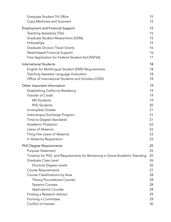| Graduate Student TA Office                                                  | 15 |
|-----------------------------------------------------------------------------|----|
| Copy Machines and Scanners                                                  | 15 |
| <b>Employment and Financial Support</b>                                     | 15 |
| <b>Teaching Assistants (TAs)</b>                                            | 15 |
| Graduate Student Researchers (GSRs)                                         | 15 |
| Fellowships                                                                 | 15 |
| <b>Graduate Division Travel Grants</b>                                      | 16 |
| Need-based Financial Support                                                | 16 |
| Free Application for Federal Student Aid (FAFSA)                            | 17 |
| <b>International Students</b>                                               | 18 |
| English for Multilingual Student (EMS) Requirements                         | 18 |
| Teaching Assistant Language Evaluation                                      | 18 |
| Office of International Students and Scholars (OISS)                        | 18 |
| Other Important Information                                                 | 19 |
| Establishing California Residency                                           | 19 |
| <b>Transfer of Credit</b>                                                   | 19 |
| <b>MS Students</b>                                                          | 19 |
| <b>PhD Students</b>                                                         | 20 |
| Incomplete Grades                                                           | 21 |
| Intercampus Exchange Program                                                | 21 |
| Time-to-Degree Standards                                                    | 21 |
| <b>Academic Probation</b>                                                   | 22 |
| Leave of Absence                                                            | 22 |
| Filing Fee Leave of Absence                                                 | 23 |
| In Absentia Registration                                                    | 23 |
| <b>PhD Degree Requirements</b>                                              | 25 |
| <b>Purpose Statement</b>                                                    | 25 |
| Timeline for PhD, and Requirements for Remaining in Good Academic Standing: | 25 |
| Graduate Class Level                                                        | 26 |
| Doctoral Degree Levels                                                      | 26 |
| <b>Course Requirements</b>                                                  | 27 |
| Course Classifications by Area                                              | 28 |
| Theory/Foundations Courses                                                  | 28 |
| <b>Systems Courses</b>                                                      | 28 |
| <b>Applications Courses</b>                                                 | 28 |
| Finding a Research Advisor                                                  | 29 |
| Forming a Committee                                                         | 29 |
| Conflict of Interest                                                        | 30 |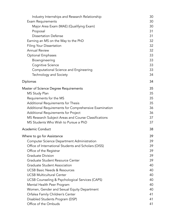| Industry Internships and Research Relationship        | 30 |
|-------------------------------------------------------|----|
| <b>Exam Requirements</b>                              | 30 |
| Major Area Exam (MAE) (Qualifying Exam)               | 30 |
| Proposal                                              | 31 |
| <b>Dissertation Defense</b>                           | 31 |
| Earning an MS on the Way to the PhD                   | 32 |
| <b>Filing Your Dissertation</b>                       | 32 |
| <b>Annual Review</b>                                  | 32 |
| <b>Optional Emphases</b>                              | 33 |
| Bioengineering                                        | 33 |
| Cognitive Science                                     | 33 |
| Computational Science and Engineering                 | 33 |
| Technology and Society                                | 34 |
| Diplomas                                              | 34 |
| Master of Science Degree Requirements                 | 35 |
| MS Study Plan                                         | 35 |
| Requirements for the MS                               | 35 |
| Additional Requirements for Thesis                    | 35 |
| Additional Requirements for Comprehensive Examination | 36 |
| Additional Requirements for Project                   | 36 |
| MS Research Subject Areas and Course Classifications  | 37 |
| MS Students Who Wish to Pursue a PhD                  | 37 |
| <b>Academic Conduct</b>                               | 38 |
| Where to go for Assistance                            | 39 |
| Computer Science Department Administration            | 39 |
| Office of International Students and Scholars (OISS)  | 39 |
| Office of the Registrar                               | 39 |
| <b>Graduate Division</b>                              | 39 |
| Graduate Student Resource Center                      | 39 |
| <b>Graduate Student Association</b>                   | 40 |
| <b>UCSB Basic Needs &amp; Resources</b>               | 40 |
| <b>UCSB Multicultural Center</b>                      | 40 |
| UCSB Counseling & Psychological Services (CAPS)       | 40 |
| Mental Health Peer Program                            | 40 |
| Women, Gender and Sexual Equity Department            | 40 |
| Orfalea Family Children's Center                      | 41 |
| Disabled Students Program (DSP)                       | 41 |
| Office of the Ombuds                                  | 41 |
|                                                       |    |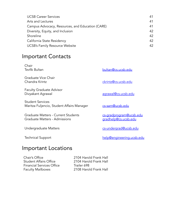| <b>UCSB Career Services</b>                      | 41 |
|--------------------------------------------------|----|
| Arts and Lectures                                | 41 |
| Campus Advocacy, Resources, and Education (CARE) | 41 |
| Diversity, Equity, and Inclusion                 | 42 |
| Shoreline                                        | 42 |
| California State Residency                       | 42 |
| <b>UCSB's Family Resource Website</b>            | 42 |

# <span id="page-4-0"></span>Important Contacts

<span id="page-4-4"></span><span id="page-4-3"></span><span id="page-4-2"></span><span id="page-4-1"></span>

| Chair<br><b>Tevfik Bultan</b>                                         | bultan@cs.ucsb.edu                              |
|-----------------------------------------------------------------------|-------------------------------------------------|
| Graduate Vice Chair<br>Chandra Krintz                                 | ckrintz@cs.ucsb.edu                             |
| <b>Faculty Graduate Advisor</b><br>Divyakant Agrawal                  | agrawal@cs.ucsb.edu                             |
| <b>Student Services</b><br>Maritza Fuljencio, Student Affairs Manager | cs-sam@ucsb.edu                                 |
| Graduate Matters - Current Students<br>Graduate Matters - Admissions  | cs-gradprogram@ucsb.edu<br>gradhelp@cs.ucsb.edu |
| Undergraduate Matters                                                 | cs-undergrad@ucsb.edu                           |
| <b>Technical Support</b>                                              | help@engineering.ucsb.edu                       |

# <span id="page-4-5"></span>Important Locations

Chair's Office<br>
2104 Harold Frank Hall<br>
2104 Harold Frank Hall Financial Services Office Trailer 698 Faculty Mailboxes 2108 Harold Frank Hall

2104 Harold Frank Hall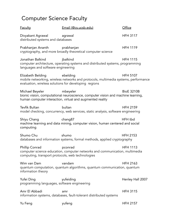# <span id="page-5-0"></span>Computer Science Faculty

| <b>Faculty</b>                                                             | Email (@cs.ucsb.edu)                                                                                                                                      | Office            |
|----------------------------------------------------------------------------|-----------------------------------------------------------------------------------------------------------------------------------------------------------|-------------------|
| Divyakant Agrawal<br>distributed systems and databases                     | agrawal                                                                                                                                                   | <b>HFH 3117</b>   |
| Prabhanjan Ananth                                                          | prabhanjan<br>cryptography, and more broadly theoretical computer science                                                                                 | <b>HFH 1119</b>   |
| Jonathan Balkind<br>languages and software engineering                     | jbalkind<br>computer architecture, operating systems and distributed systems, programming                                                                 | <b>HFH 1115</b>   |
| Elizabeth Belding<br>evaluation, wireless solutions for developing regions | ebelding<br>mobile networking, wireless networks and protocols, multimedia systems, performance                                                           | <b>HFH 5107</b>   |
| Michael Beyeler                                                            | mbeyeler<br>bionic vision, computational neuroscience, computer vision and machine learning,<br>human computer interaction, virtual and augmented reality | <b>BioE 3210B</b> |
| Tevfik Bultan                                                              | bultan<br>model checking, concurrency, web services, static analysis, software engineering                                                                | <b>HFH 2159</b>   |
| Shiyu Chang<br>computing                                                   | chang87<br>machine learning and data mining, computer vision, human centered and social                                                                   | HFH tbd           |
| Shumo Chu                                                                  | shumo<br>databases and information systems, formal methods, applied cryptography                                                                          | <b>HFH 2153</b>   |
| Phillip Conrad<br>computing, transport protocols, web technologies         | pconrad<br>computer science education, computer networks and communication, multimedia                                                                    | <b>HFH 1113</b>   |
| Wim van Dam<br>information theory                                          | vandam<br>quantum computation, quantum algorithms, quantum communication, quantum                                                                         | <b>HFH 2163</b>   |
| Yufei Ding<br>programming languages, software engineering                  | yufeiding                                                                                                                                                 | Henley Hall 2007  |
| Amr El Abbadi                                                              | amr<br>information systems, databases, fault-tolerant distributed systems                                                                                 | <b>HFH 3115</b>   |
| Yu Feng                                                                    | yufeng                                                                                                                                                    | <b>HFH 2157</b>   |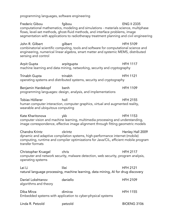programming languages, software engineering

Frederic Gibou fgibou ENG II 2335 computational mathematics, modeling and simulations - materials science, multiphase flows, level-set methods, ghost-fluid methods, and interface problems, image segmentation with applications to radiotherapy treatment planning and civil engineering

John R. Gilbert gilbert HFH 5109 combinatorial scientific computing, tools and software for computational science and engineering, numerical linear algebra, smart matter and systemic MEMS, distributed sensing and control

Arpit Gupta **arpitgupta** arpitgupta HFH 1117 machine learning and data mining, networking, security and cryptography

Trinabh Gupta trinabh HFH 1121 operating systems and distributed systems, security and cryptography

Benjamin Hardekopf benh bent HFH 1109 programming languages: design, analysis, and implementations

Tobias Höllerer holl HFH 2155 human computer interaction, computer graphics, virtual and augmented reality, wearable and ubiquitous computing

Kate Kharitonova ykk HFH 1153 computer vision and machine learning, multimedia processing and understanding, image correspondence, effective image alignment through fitting geometric models

Chandra Krintz Chandra Krintz Chandra Krintz Chandra Henley Hall 2009 dynamic and adaptive compilation systems, high-performance internet (mobile) computing, runtime and compiler optimizations for Java/CIL, efficient mobile program transfer formats

Christopher Kruegel chris HFH 2117 computer and network security, malware detection, web security, program analysis, operating systems

Lei Li lilei HFH 2121 natural language processing, machine learning, data mining, AI for drug discovery

Daniel Lokshtanov daniello HFH 2109 algorithms and theory

Diba Mirza dimirza HFH 1155 Embedded systems with application to cyber-physical systems

| Linda R. Petzold | petzold | <b>BIOENG 3106</b> |
|------------------|---------|--------------------|
|                  |         |                    |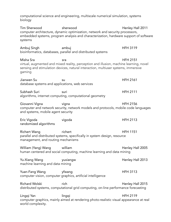computational science and engineering, multiscale numerical simulation, systems biology Tim Sherwood sherwood sherwood Henley Hall 2011 computer architecture, dynamic optimization, network and security processors, embedded systems, program analysis and characterization, hardware support of software systems Ambuj Singh ambuj ambuj ambuj HFH 3119 bioinformatics, databases, parallel and distributed systems Misha Sra sra HFH 2151 virtual, augmented and mixed reality, perception and illusion, machine learning, novel sensing and stimulation devices, natural interaction, multiuser systems, immersive gaming Jianwen Su su HFH 2161 database systems and applications, web services Subhash Suri suri HFH 2111 algorithms, internet computing, computational geometry Giovanni Vigna vigna HFH 2156 computer and network security, network models and protocols, mobile code languages and systems, mobile agent security Eric Vigoda vigoda HFH 2113 randomized algorithms Richert Wang Fichert HFH 1151 parallel and distributed systems, specifically in system design, resource management, and routing mechanisms William (Yang) Wang william **William Henley Hall 2005** human centered and social computing, machine learning and data mining Yu-Xiang Wang yuxiangw Henley Hall 2013 machine learning and data mining Yuan-Fang Wang yfwang her version of the HFH 3113 computer vision, computer graphics, artificial intelligence Richard Wolski **Richard Wolski** rich **Richard Wolski rich Henley Hall 2015** distributed systems, computational grid computing, on-line performance forecasting Lingqi Yan lingqi HFH 2119 computer graphics, mainly aimed at rendering photo-realistic visual appearance at real world complexity.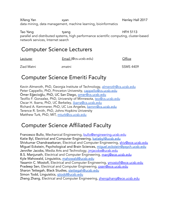Xifeng Yan xyan Henley Hall 2017 data mining, data management, machine learning, bioinformatics

Tao Yang tyang tyang tyang HFH 5113 parallel and distributed systems, high performance scientific computing, cluster-based network services, Internet search

# <span id="page-8-0"></span>Computer Science Lecturers

Lecturer Email (@cs.ucsb.edu) CHice

Ziad Matni zmatni SSMS 4409

# <span id="page-8-1"></span>Computer Science Emeriti Faculty

Kevin Almeroth, PhD, Georgia Institute of Technology, [almeroth@cs.ucsb.edu](mailto:almeroth@cs.ucsb.edu) Peter Cappello, PhD, Princeton University, [cappello@cs.ucsb.edu](mailto:cappello@cs.ucsb.edu) Ömer Eğecioğlu, PhD, UC San Diego, [omer@cs.ucsb.edu](mailto:omer@cs.ucsb.edu) Teofilo F. Gonzalez, PhD, University of Minnesota, [teo@cs.ucsb.edu](mailto:teo@cs.ucsb.edu) Oscar H. Ibarra, PhD, UC Berkeley, *[ibarra@cs.ucsb.edu](mailto:ibarra@cs.ucsb.edu)* Richard A. Kemmerer, PhD, UC Los Angeles, [kemm@cs.ucsb.edu](mailto:kemm@cs.ucsb.edu) Terence R. Smith, PhD, Johns Hopkins University Matthew Turk, PhD, MIT, [mturk@cs.ucsb.edu](mailto:mturk@cs.ucsb.edu)

# <span id="page-8-2"></span>Computer Science Affiliated Faculty

Francesco Bullo, Mechanical Engineering, [bullo@engineering.ucsb.edu](mailto:bullo@engineering.ucsb.edu) Katie Byl, Electrical and Computer Engineering, [katiebyl@ucsb.edu](mailto:katiebyl@ucsb.edu) Shivkumar Chandrasekaran, Electrical and Computer Engineering, [shiv@ece.ucsb.edu](mailto:shiv@ece.ucsb.edu) Miguel Eckstein, Psychological and Brain Sciences, miquel.eckstein@psych.ucsb.edu Jennifer Jacobs, Media Arts and Technology, *[jmjacobs@ucsb.edu](mailto:jmjacobs@ucsb.edu)* B.S. Manjunath, Electrical and Computer Engineering, [manj@ece.ucsb.edu](mailto:manj@ece.ucsb.edu) Kyle Mahowald, Linguistics, [mahowald@ucsb.edu](mailto:mahowald@ucsb.edu) Yasamin C. Mostofi, Electrical and Computer Engineering, [ymostofi@ece.ucsb.edu](mailto:ymostofi@ece.ucsb.edu) Pradeep Sen, Electrical and Computer Engineering, [psen@ece.ucsb.edu](mailto:psen@ece.ucsb.edu) Sharon Tettegah, Black Studies, [stettegah@ucsb.edu](mailto:stettegah@ucsb.edu) Simon Todd, Linguistics, sitodd@ucsb.edu Zheng Zhang, Electrical and Computer Engineering, [zhengzhang@ece.ucsb.edu](mailto:zhengzhang@ece.ucsb.edu)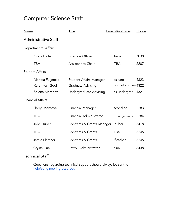# <span id="page-9-0"></span>Computer Science Staff

<span id="page-9-3"></span><span id="page-9-2"></span><span id="page-9-1"></span>

| <u>Name</u>              |                             | <u>Title</u>                   |  | Email (@ucsb.edu)             | Phone |
|--------------------------|-----------------------------|--------------------------------|--|-------------------------------|-------|
|                          | <b>Administrative Staff</b> |                                |  |                               |       |
|                          | Departmental Affairs        |                                |  |                               |       |
|                          | Greta Halle                 | <b>Business Officer</b>        |  | halle                         | 7038  |
|                          | <b>TBA</b>                  | Assistant to Chair             |  | <b>TBA</b>                    | 2207  |
| <b>Student Affairs</b>   |                             |                                |  |                               |       |
|                          | Maritza Fuljencio           | <b>Student Affairs Manager</b> |  | cs-sam                        | 4323  |
|                          | Karen van Gool              | Graduate Advising              |  | cs-gradprogram 4322           |       |
|                          | Selena Martinez             | Undergraduate Advising         |  | cs-undergrad                  | 4321  |
| <b>Financial Affairs</b> |                             |                                |  |                               |       |
|                          | Sheryl Montoya              | <b>Financial Manager</b>       |  | scondino                      | 5283  |
|                          | <b>TBA</b>                  | <b>Financial Administrator</b> |  | purchasing@cs.ucsb.edu $5284$ |       |
|                          | John Huber                  | Contracts & Grants Manager     |  | jhuber                        | 3418  |
|                          | <b>TBA</b>                  | <b>Contracts &amp; Grants</b>  |  | <b>TBA</b>                    | 3245  |
|                          | Jamie Fletcher              | <b>Contracts &amp; Grants</b>  |  | jfletcher                     | 3245  |
|                          | Crystal Lua                 | Payroll Administrator          |  | clua                          | 6438  |

# <span id="page-9-5"></span><span id="page-9-4"></span>Technical Staff

Questions regarding technical support should always be sent to [help@engineering.ucsb.edu](mailto:help@engineering.ucsb.edu)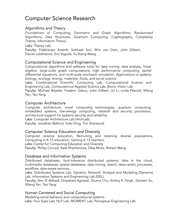# <span id="page-10-0"></span>Computer Science Research

# <span id="page-10-1"></span>Algorithms and Theory

Foundations of Computing, Geometric and Graph Algorithms, Randomized Algorithms, Data Structures, Quantum Computing, Cryptography, Complexity Theory, Information Theory.

#### Labs: Theory Lab

Faculty: Prabhanjan Ananth, Subhash Suri, Wim van Dam, John Gilbert, Daniel Lokshtanov, Eric Vigoda, Yu-Xiang Wang

## <span id="page-10-2"></span>Computational Science and Engineering

Computational algorithms and software tools for data mining, data analysis, linear algebra, large-scale graph computations, high performance computing, partial differential equations, and multi-scale stochastic simulation. Applications to systems biology, ecology, energy, materials, fluids, and social science.

Labs: Combinatorial Scientific Computing Lab, Computational Science and Engineering Lab, Computational Applied Science Lab, Bionic Vision Lab

Faculty: Michael Beyeler, Frederic Gibou, John Gilbert, Lei Li, Linda Petzold, Xifeng Yan, Tao Yang

#### <span id="page-10-3"></span>Computer Architecture

Computer architecture, novel computing technologies, quantum computing, embedded systems, low-energy computing, network and security processors, architectural support for systems security and reliability

Labs: Computer Architecture Lab (ArchLab)

Faculty: Jonathan Balkind, Yufei Ding, Tim Sherwood

## <span id="page-10-4"></span>Computer Science Education and Diversity

Computer science education, Recruiting and retaining diverse populations, Computing in K-12 education, training K-12 teachers.

Labs: Center for Computing Education and Diversity

Faculty: Phillip Conrad, Kate Kharitonova, Diba Mirza, Richert Wang

## <span id="page-10-5"></span>Database and Information Systems

Distributed databases, fault-tolerance distributed systems, data in the cloud, multimedia databases, spatial databases, data mining, search, data-centric processes, workflow, data-aware services.

Labs: Distributed Systems Lab, Dynamic Network: Analysis and Modeling (Dynamo) Lab, Information Systems and Engineering Lab (ISEL)

Faculty: Amr El Abbadi, Divyakant Agrawal, Shumo Chu, Ambuj K. Singh, Jianwen Su, Xifeng Yan, Tao Yang

## <span id="page-10-6"></span>Human Centered and Social Computing

Modeling social behavior and computational systems. Labs: Four Eyes Lab, NLP Lab, MOMENT Lab, Perceptual Engineering Lab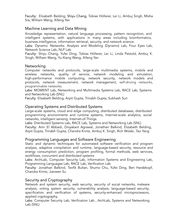Faculty: Elizabeth Belding, Shiyu Chang, Tobias Höllerer, Lei Li, Ambuj Singh, Misha Sra, William Wang, Xifeng Yan

# <span id="page-11-0"></span>Machine Learning and Data Mining

Knowledge representation, natural language processing, pattern recognition, and intelligent systems, with applications in many areas including bioinformatics, business intelligence, information retrieval, security, and network science.

Labs: Dynamic Networks: Analysis and Modeling (Dynamo) Lab, Four Eyes Lab, Network Science Lab, NLP Lab

Faculty: Shiyu Chang, Yufei Ding, Tobias Höllerer, Lei Li, Linda Petzold, Ambuj K. Singh, William Wang, Yu-Xiang Wang, Xifeng Yan

## <span id="page-11-1"></span>Networking

Computer networks and protocols, large-scale multimedia systems, mobile and wireless networks, quality of service, network modeling and simulation, high-performance mobile computing, network security, network models and protocols, network measurement, network management, self-driving networks, programmable networks.

Labs: MOMENT Lab, Networking and Multimedia Systems Lab, RACE Lab, Systems and Networking Lab (SNL)

Faculty: Elizabeth Belding, Arpit Gupta, Trinabh Gupta, Subhash Suri

# <span id="page-11-2"></span>Operating Systems and Distributed Systems

Large-scale systems, cloud and edge computing, distributed databases, distributed programming environments and runtime systems, Internet-scale analytics, social networks, intelligent sensing, Internet-of-Things.

Labs: Distributed Systems Lab, RACE Lab, Systems and Networking Lab (SNL) Faculty: Amr El Abbadi, Divyakant Agrawal, Jonathan Balkind, Elizabeth Belding, Arpit Gupta, Trinabh Gupta, Chandra Krintz, Ambuj K. Singh, Rich Wolski, Tao Yang

## <span id="page-11-3"></span>Programming Languages and Software Engineering

Static and dynamic techniques for automated software verification and program analysis, adaptive compilation and runtime, language-based security, resource and energy consumption prediction, program profiling, formal methods, web services, workflows, concurrent and distributed systems

Labs: ArchLab, Computer Security Lab, Information Systems and Engineering Lab, Programming Languages Lab, RACE Lab, Verification Lab

Faculty: Jonathan Balkind, Tevfik Bultan, Shumo Chu, Yufei Ding, Ben Hardekopf, Chandra Krintz, Jianwen Su

# <span id="page-11-4"></span>Security and Cryptography

Network and system security, web security, security of social networks, malware analysis, voting system security, vulnerability analysis, language-based security, specification and verification of systems, security-enhanced microprocessors, applied cryptography.

Labs: Computer Security Lab, Verification Lab , ArchLab, Systems and Networking Lab (SNL)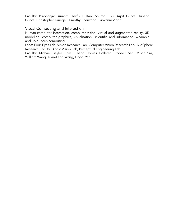Faculty: Prabhanjan Ananth, Tevfik Bultan, Shumo Chu, Arpit Gupta, Trinabh Gupta, Christopher Kruegel, Timothy Sherwood, Giovanni Vigna

#### <span id="page-12-0"></span>Visual Computing and Interaction

Human-computer Interaction, computer vision, virtual and augmented reality, 3D modeling, computer graphics, visualization, scientific and information, wearable and ubiquitous computing

Labs: Four Eyes Lab, Vision Research Lab, Computer Vision Research Lab, AlloSphere Research Facility, Bionic Vision Lab, Perceptual Engineering Lab

Faculty: Michael Beyler, Shiyu Chang, Tobias Höllerer, Pradeep Sen, Misha Sra, William Wang, Yuan-Fang Wang, Lingqi Yan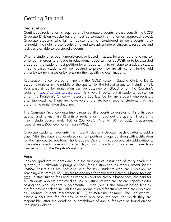# <span id="page-13-0"></span>Getting Started

#### <span id="page-13-1"></span>Registration

Continuous registration is required of all graduate students (please consult the UCSB Graduate Division website for the most up to date information on approved leaves). Graduate students who fail to register are not considered to be students; they relinquish the right to use faculty time and take advantage of University resources and facilities available to registered students.

When a student has been unregistered, or lapsed in status, for a period of one quarter or longer, in order to engage in educational opportunities at UCSB, or to be awarded a degree, the student must petition for an opportunity to reinstate to graduate status. In some cases, students will be required to prove they are still current in the field either by taking classes or by re-taking their qualifying examinations.

Registration is completed on-line via the GOLD system (Gaucho On-Line Data). Students register in the middle of the quarter for the following quarter including Fall. Your pass times for registration can be obtained on GOLD or on the Registrar's website [\(https://registrar.sa.ucsb.edu/\)](https://registrar.sa.ucsb.edu/). It is very important that students register on time. The Registrar's Office will assess a \$50 late fee for any student who registers after the deadline. There are no waivers of the late fee charge for students that miss the on-time registration deadline.

The Computer Science department requires all students to register for 12 units each quarter and to maintain 12 units of registration throughout the quarter. These units may include course work (100 or 200 level), TA units (501 or 502), independent research units (500 level) or seminars (595s).

Graduate students have until the fifteenth day of instruction each quarter to add a class. After this date, a schedule adjustment petition is required along with justification for the late course addition. The Graduate Division must approve late add petitions. Graduate students have until the last day of instruction to drop a course. These dates can be found on the Registrar's website.

#### <span id="page-13-2"></span>Fees

Fees for graduate students are due the first day of instruction of every academic quarter (i.e., Fall/Winter/Spring). All fees (fees, tuition and insurance) except for the campus-based fees are normally paid for PhD students who are employed as Teaching Assistants (TAs). TAs are responsible for paying their campus-based fees on time. In-state tuition/fees and insurance (except for campus-based fees) are paid for MS students who are employed as TAs. MS students who are TAs are responsible for paying the Non-Resident Supplemental Tuition (NRST) and campus-based fees by the fee payment deadline. All fees are normally paid for students who are employed as Graduate Student Researchers (GSRS) at 35% time or more. The Registrar will assess a \$50 late fee for any student who pays the fees, for which they are responsible, after the deadline. A breakdown of annual fees can be found on the Registrar's website.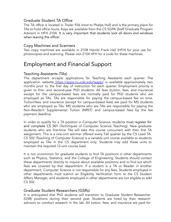# <span id="page-14-0"></span>Graduate Student TA Office

The TA office is located in Trailer 936 (next to Phelps Hall) and is the primary place for TAs to hold office hours. Keys are available from the CS SGPA (Staff Graduate Program Advisor) in HFH 2104. It is very important that students lock all doors and windows when leaving the office!

#### <span id="page-14-1"></span>Copy Machines and Scanners

Two copy machines are available in 2108 Harold Frank Hall (HFH) for your use for photocopies and scanning. Please visit 2104 HFH for a code for these machines.

# <span id="page-14-2"></span>Employment and Financial Support

## <span id="page-14-3"></span>Teaching Assistants (TAs)

The department accepts applications for Teaching Assistants each quarter. The application website <https://apps.cs.ucsb.edu/taapp/> is available approximately two months prior to the first day of instruction for each quarter. Employment priority is given to first- and second-year PhD students. All fees (tuition, fees, and insurance) except for the campus-based fees are normally paid for PhD students who are employed as TAs. TAs are responsible for paying the campus-based fee on time. Tuition/fees and insurance (except for campus-based fees) are paid for MS students who are employed as TAs. MS students who are TAs are responsible for paying the Non-Resident Supplemental Tuition (NRST) and campus-based fees by the fee payment deadline.

In order to qualify for a TA position in Computer Science, students must register for and complete CS 501 (Techniques of Computer Science Teaching). New graduate students who are first-time TAs will take this course concurrent with their first TA assignment. This is a one-unit seminar offered every Fall quarter by the CS Lead TA. CS 502 (Teaching of Computer Science) is a variable unit course available to students employed as TAs in the CS department only. Students may add these units to maintain the required 12-unit course load.

It is not uncommon for graduate students to find TA positions in other departments such as Physics, Statistics, and the College of Engineering. Students should contact these departments directly to inquire about available positions and to find out which fees are covered by that department. If a student is a TA or Reader in another department, Computer Science is not responsible for any fees. Students employed in other departments must submit an Eligibility Verification form to the CS Student Affairs Manager, and students employed in other departments are not eligible to add CS 502.

## <span id="page-14-4"></span>Graduate Student Researchers (GSRs)

It is anticipated that PhD students will transition to Graduate Student Researcher (GSR) positions during their second year. Students are hired by their research advisors to conduct research in the lab. All tuition, fees, and insurance are paid for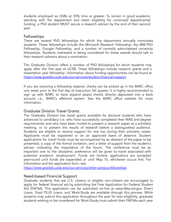students employed as GSRs at 35% time or greater. To remain in good academic standing with the department and retain eligibility for continued departmental funding, a PhD student MUST secure a research advisor by the end of their second year.

#### <span id="page-15-0"></span>Fellowships

There are several PhD fellowships for which the department annually nominates students. These fellowships include the Microsoft Research Fellowship, the IBM PhD Fellowship, Google Fellowship, and a number of centrally administered university fellowships. Students interested in being considered for these awards should talk to their research advisors about a nomination.

The Graduate Division offers a number of PhD fellowships for which students may apply after the first year at UCSB. These fellowships include research grants and a dissertation year fellowship. Information about funding opportunities can be found at [https://www.graddiv.ucsb.edu/our-services/student-financial-support.](https://www.graddiv.ucsb.edu/our-services/student-financial-support)

If you are receiving a fellowship stipend, checks can be picked up in the BARC office one week prior to the first day of instruction fall quarter. It is highly recommended to sign up with BARC to have stipend award checks directly deposited into a bank account i.e., BARC's eRefund system. See the BARC office website for more information.

#### <span id="page-15-1"></span>Graduate Division Travel Grants

The Graduate Division has travel grants available for doctoral students who have advanced to candidacy (i.e. who have successfully completed their MAE and degree requirements) and who have been invited to present a research paper at a scholarly meeting, or to present the results of research before a distinguished audience. Students are eligible to receive support for one trip during their scholarly career. Applicants must be registered or on an approved leave of absence. Student applications for travel funds must be accompanied by an abstract of the paper to be presented, a copy of the formal invitation, and a letter of support from the student's advisor indicating the importance of the forum. The conference must be an important one to the discipline; preference will be given to travel associated with potential academic employment. Funds are limited; applications are accepted year-round until funds are expended or until May 15, whichever occurs first. For information and the application form, see:

<https://www.graddiv.ucsb.edu/our-services/other-campus-fellowships>

#### <span id="page-15-2"></span>Need-based Financial Support

Graduate students that are U.S. citizens or eligible non-citizens are encouraged to apply for federal financial aid by submitting the Free Application for Federal Student Aid (FAFSA). This application can be submitted on-line at [www.fafsa.ed.gov.](http://www.fafsa.ed.gov/) Direct Loans, Grad PLUS Loans, and Work-Study are available through this process. While students may submit this application throughout the year for loan eligibility, graduate students wishing to be considered for Work-Study must submit their FAFSAs each year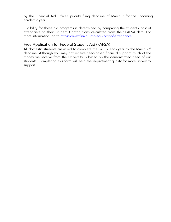by the Financial Aid Office's priority filing deadline of March 2 for the upcoming academic year.

Eligibility for these aid programs is determined by comparing the students' cost of attendance to their Student Contributions calculated from their FAFSA data. For more information, go to [https://www.finaid.ucsb.edu/cost-of-attendance.](https://www.finaid.ucsb.edu/cost-of-attendance)

# <span id="page-16-0"></span>Free Application for Federal Student Aid (FAFSA)

All domestic students are asked to complete the FAFSA each year by the March  $2^{\mathsf{nd}}$ deadline. Although you may not receive need-based financial support, much of the money we receive from the University is based on the demonstrated need of our students. Completing this form will help the department qualify for more university support.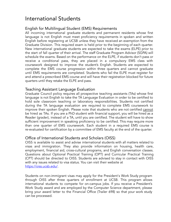# <span id="page-17-0"></span>International Students

# <span id="page-17-1"></span>English for Multilingual Student (EMS) Requirements

All incoming international graduate students and permanent residents whose first language is not English must meet proficiency requirements in spoken and written English before registering at UCSB unless they have received an exemption from the Graduate Division. This required exam is held prior to the beginning of each quarter. New international graduate students are expected to take the exams (ELPE) prior to the start of fall quarter of their arrival. The staff Graduate Program Advisor (SGPA) will schedule the exams. Based on the performance on the ELPE, if students don't pass or receive a conditional pass, they are placed in a compulsory EMS class with coursework designed to improve the student's English. Students are expected to complete the EMS course progression within three quarters and cannot graduate until EMS requirements are completed. Students who fail the ELPE must register for and attend a prescribed EMS course and will have their registration blocked for future quarters until they retake the ELPE and pass.

## <span id="page-17-2"></span>Teaching Assistant Language Evaluation

Graduate Council policy requires all prospective teaching assistants (TAs) whose first language is not English to take the TA Language Evaluation in order to be certified to hold sole classroom teaching or laboratory responsibilities. Students not certified during the TA language evaluation are required to complete EMS coursework to improve their spoken English. Please note that students who are not certified cannot be hired as TAs. If you are a PhD student with financial support, you will be hired as a Reader (grader), instead of a TA, until you are certified. The student will have to show sufficient improvement in speaking proficiency to be certified. This may require more than one quarter of EMS coursework. Each student in a required EMS course is re-evaluated for certification by a committee of EMS faculty at the end of the quarter.

## <span id="page-17-3"></span>Office of International Students and Scholars (OISS)

OISS is available to assist and advise international students with all matters related to visas and immigration. They also provide information on housing, health care, employment, financial aid, cross-cultural programs, and English conversation classes. Questions about Optional Practical Training (OPT) and Curricular Practical Training (CPT) should be directed to OISS. Students are advised to stay in contact with OISS with any issues related to visa status. You can visit their website at <https://oiss.ucsb.edu/>.

Students on non-immigrant visas may apply for the President's Work Study program through OISS after three quarters of enrollment at UCSB. This program allows international students to compete for on-campus jobs. If you receive a President's Work Study award and are employed by the Computer Science department, please bring your award letter to the Financial Office (Trailer 698) so that your work study can be processed.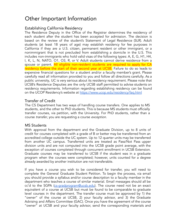# <span id="page-18-0"></span>Other Important Information

# <span id="page-18-1"></span>Establishing California Residency

The Residence Deputy in the Office of the Registrar determines the residency of each student after the student has been accepted for admission. The decision is based on the review of the student's Statement of Legal Residence (SLR). Adult students (at least 18 years of age) may establish residency for fee purposes in California if they are a U.S. citizen, permanent resident or other immigrant, or a nonimmigrant that is not precluded from establishing a domicile in the U.S. This includes non-immigrants who hold valid visas of the following types: A, E, G, H1, H4, I, K, L, N, NATO, O1, O3, R, or V. Adult students cannot derive residence from a spouse or parent. All eligible non-resident students are required to apply for CA residency before the start of their second year at UCSB. Failure to do so leads to expensive financial questions for a student and/or a faculty member's grant. Please carefully read all information provided to you and follow all directions carefully. As a public university, UC is very serious about its residency requirement. Please note that UCSB's Residence Deputies are the only UCSB staff permitted to advise students on residency requirements. Information regarding establishing residency can be found on the UCOP Residency's website at <https://www.ucop.edu/residency/faq.html>

# <span id="page-18-2"></span>Transfer of Credit

The CS Department has two ways of handling course transfers. One applies to MS students, and the other to PhD students. This is because MS students must officially transfer courses, via petition, with the University. For PhD students, rather than a course transfer, you are requesting a course exception.

## <span id="page-18-3"></span>MS Students

With approval from the department and the Graduate Division, up to 8 units of credit for courses completed with a grade of B or better may be transferred from an accredited college outside the UC system. Up to 12 quarter units may be transferred from another UC campus. Transferred units are treated as Pass/Not Pass upper division units and are not computed into the UCSB grade point average, with the exception of courses completed through concurrent enrollment in UCSB Extension. Graduate courses may be transferred to UCSB if the student was in a graduate program when the courses were completed; however, units counted for a degree already awarded by another institution are not transferable.

If you have a course you wish to be considered for transfer, you will need to complete the General Graduate Student Petition. To begin the process, via email you should provide a syllabus and/or course description to a faculty member in the department who teaches a course of similar material. Email messages should all be cc'd to the SGPA ([cs-gradprogram@ucsb.edu\)](mailto:cs-gradprogram@ucsb.edu). The course need not be an exact equivalent of a course at UCSB but must be found to be comparable to graduate level courses in the department. The transfer course must be approved by 1) the "owner" of the course at UCSB, 2) your faculty advisor, and 3) the Graduate Advising and Affairs Committee (GAC). Once you have the agreement of the course "owner" at UCSB and your faculty advisor, send the corresponding materials and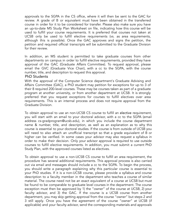approvals to the SGPA in the CS office, where it will then be sent to the GAC for review. A grade of B or equivalent must have been obtained in the transferred course in order for it to be considered for transfer. Please also make sure you have an up-to-date MS Study Plan Worksheet on file, indicating how this course will be used to fulfill your course requirements. It is preferred that courses not taken at UCSB only be used to fulfill elective requirements (vs. as area requirements, although this is possible). Once the GAC approves and signs the petition, the petition and required official transcripts will be submitted to the Graduate Division for their review.

In addition, an MS student is permitted to take graduate courses from other departments on campus in order to fulfill elective requirements, provided they have approval of the GAC (Graduate Affairs Committee). To request approval, please email the GVC (Graduate Vice Chair), with a cc to the SGPA, with the course number, title, and description to request this approval.

#### <span id="page-19-0"></span>PhD Students

With the approval of the Computer Science department's Graduate Advising and Affairs Committee (GAC), a PhD student may petition for exceptions for up to 3 of their 8 required 200-level courses. These may be courses taken as part of a graduate program at another university, or from another department at UCSB. It is strongly preferred that you request exceptions for courses to fulfill electives over area requirements. This is an internal process and does not require approval from the Graduate Division.

To obtain approval to use an non-UCSB CS course to fulfill an elective requirement, you will start with an email to your doctoral advisor, with a cc to the SGPA (email address cs-gradprogram@ucsb.edu), in which you include the course department name & number, title, and description, as well as an explanation as to why this course is essential to your doctoral studies. If the course is from outside of UCSB you will need to also attach an unofficial transcript so that a grade equivalent of B or higher can be verified. In some cases your advisor may also request a syllabus in order to make their decision. Only your advisor approval is required to use outside courses to fulfill elective requirements. In addition, you must submit a current PhD Study Plan, with the approved courses listed as electives.

To obtain approval to use a non-UCSB CS course to fulfill an area requirement, the procedure has several additional requirements. This approval process is also carried out via email and messages should include a cc to the SGPA. To begin the process, you should write a paragraph explaining why this particular course is essential to your PhD studies. If it is a non-UCSB course, please provide a syllabus and course description to a faculty member in the department who teaches a course of similar material. The course need not be an exact equivalent of a course at UCSB but must be found to be comparable to graduate level courses in the department. The course exception must then be approved by 1) the "owner" of the course at UCSB, 2) your faculty advisor, and 3) the GAC. If the course is a UCSB course from another department, you may skip getting approval from the course "owner" but steps 2 and 3 still apply. Once you have the agreement of the course "owner" at UCSB (if applicable) and your faculty advisor, send the corresponding materials and approvals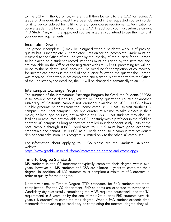to the SGPA in the CS office, where it will then be sent to the GAC for review. A grade of B or equivalent must have been obtained in the requested course in order for it to be considered for fulfilling one of your course requirements. Verification of course grade must be submitted to the GAC. In addition, you must submit a current PhD Study Plan, with the approved courses listed as you intend to use them to fulfill your degree requirements.

#### <span id="page-20-0"></span>Incomplete Grades

The grade Incomplete (I) may be assigned when a student's work is of passing quality but is incomplete. A completed Petition for an Incomplete Grade must be returned to the Office of the Registrar by the last day of the quarter for an I grade to be placed on a student's record. Petitions must be signed by the instructor and are available on the Office of the Registrar's website. A \$5.00 processing fee will be billed to the student's BARC account. The deadline for completion of coursework for incomplete grades is the end of the quarter following the quarter the I grade was received. If the work is not completed and a grade is not reported to the Office of the Registrar by the deadline, the "I" will be changed automatically to an "F."

#### <span id="page-20-1"></span>Intercampus Exchange Program

The purpose of the Intercampus Exchange Program for Graduate Students (IEPGS) is to provide access during Fall, Winter, or Spring quarter to courses at another University of California campus not ordinarily available at UCSB. IEPGS allows eligible graduate students from the "home campus" - UCSB - to visit another UC campus - the "host campus" - for one quarter at a time to take classes in their major, or language courses, not available at UCSB. UCSB students may also use facilities or resources not available at UCSB or study with a professor in their field at another UC campus as long as they are enrolled in independent study units at the host campus through IEPGS. Applicants to IEPGS must have good academic credentials and cannot use IEPGS as a "back door" to a campus that previously denied them admission. This program is limited only to the other UC campuses.

For information about applying to IEPGS please see the Graduate Division's website:

<https://www.graddiv.ucsb.edu/forms/intercamp-ed-abroad-and-cross#iepgs>

#### <span id="page-20-2"></span>Time-to-Degree Standards

MS students in the CS department typically complete their degree within two years, however all MS students at UCSB are allotted 4 years to complete their degree. In addition, all MS students must complete a minimum of 3 quarters in order to qualify for their degree.

Normative time, or Time-to-Degree (TTD) standards, for PhD students are more complicated. For the CS department, PhD students are expected to Advance to Candidacy (by successfully completing the MAE, required coursework, and the TA requirement) in 3 years, or by the end of their 9th quarter. PhD students have six years (18 quarters) to complete their degree. When a PhD student exceeds time standards for advancing to candidacy or completing the doctoral degree, they will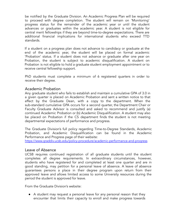be notified by the Graduate Division. An Academic Progress Plan will be required to proceed with degree completion. The student will remain on 'Monitoring' progress status for the remainder of the academic year or until the student advances or graduates within the academic year. A student is not eligible for central merit fellowships if they are beyond time-to-degree expectations. There are additional financial implications for international students who exceed TTD standards.

If a student on a progress plan does not advance to candidacy or graduate at the end of the academic year, the student will be placed on formal academic 'Probation' status. If a student does not advance or graduate after one year on Probation, the student is subject to academic disqualification. A student on Probation is not eligible to hold a graduate student employment appointment or to receive central fellowship support.

PhD students must complete a minimum of 6 registered quarters in order to receive their degree.

#### <span id="page-21-0"></span>Academic Probation

Any graduate student who fails to establish and maintain a cumulative GPA of 3.0 in a given quarter is placed on Academic Probation and sent a written notice to that effect by the Graduate Dean, with a copy to the department. When the sub-standard cumulative GPA occurs for a second quarter, the Department Chair or Faculty Graduate Advisor is consulted and asked to recommend and justify (a) continued Academic Probation or (b) Academic Disqualification. A student may also be placed on Probation if the CS department finds the student is not meeting departmental expectations of performance and progress.

The Graduate Division's full policy regarding Time-to-Degree Standards, Academic Probation, and Academic Disqualification can be found in the Academic Performance and Progress page of their website:

<https://www.graddiv.ucsb.edu/policy-procedure/academic-performance-and-progress>

#### <span id="page-21-1"></span>Leave of Absence

UCSB requires continued registration of all graduate students until the student completes all degree requirements. In extraordinary circumstances, however, students who have registered for and completed at least one quarter and are in good standing, may petition for a personal leave of absence. A leave of absence guarantees persons a place in their degree program upon return from their approved leave and allows limited access to some University resources during the period the student is approved for leave.

From the Graduate Division's website:

● A student may request a personal leave for any personal reason that they encounter that limits their capacity to enroll and make progress towards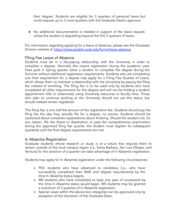their degree. Students are eligible for 3 quarters of personal leave but could request up to 3 more quarters with the Graduate Dean's approval.

● No additional documentation is needed in support of the leave request, unless the student is requesting beyond the first 3 quarters of leave.

For information regarding applying for a leave of absence, please see the Graduate Division website at <https://www.graddiv.ucsb.edu/forms/leave-absence>

# <span id="page-22-0"></span>Filing Fee Leave of Absence

Students must be in a fee-paying relationship with the University in order to complete a degree. Normally this means registration during the academic year. Fees paid in Spring quarter allow a student to complete the degree during the Summer without additional registration requirements. Students who are completing one final requirement for a degree may apply for a Filing Fee Quarter of Leave, which allows them to maintain a relationship with the University by paying the filing fee instead of enrolling. The filing fee is to be used only by students who have completed all other requirements for the degree and will not be holding a student appointment title or extensively using University resources or faculty time. Those who plan to continue working at the University should not use this status, but should instead remain registered.

The filing fee is one half the amount of the registration fee. Students should pay the filing fee the day they actually file for a degree, no sooner. Students should be cautioned about unrealistic expectations about finishing. Should the student not, for any reason, file the thesis or dissertation or pass the comprehensive examination during the approved filing fee quarter, the student must register for subsequent quarter(s) until the final degree requirements are met.

## <span id="page-22-1"></span>In Absentia Registration

Graduate students whose research or study is of a nature that requires them to remain outside of the local campus region (i.e, Santa Barbara, San Luis Obispo, and Ventura) for the duration of a quarter can take advantage of In Absentia registration.

Students may apply for In Absentia registration under the following circumstances:

- o PhD students who have advanced to candidacy (i.e., who have successfully completed their MAE and degree requirements) by the time In Absentia status begins.
- o MS students who have completed at least one year of coursework by the time In Absentia status would begin. MS students may be granted a maximum of 3 quarters of In Absentia registration.
- o Special cases within the above two categories can be approved only by exception at the discretion of the Graduate Dean.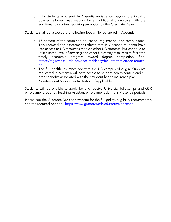o PhD students who seek In Absentia registration beyond the initial 3 quarters allowed may reapply for an additional 3 quarters, with the additional 3 quarters requiring exception by the Graduate Dean.

Students shall be assessed the following fees while registered In Absentia:

- o 15 percent of the combined education, registration, and campus fees. This reduced fee assessment reflects that In Absentia students have less access to UC resources than do other UC students, but continue to utilize some level of advising and other University resources to facilitate timely academic progress toward degree completion. See: [https://registrar.sa.ucsb.edu/fees-residency/fee-information/fee-reducti](https://registrar.sa.ucsb.edu/fees-residency/fee-information/fee-reduction) [on](https://registrar.sa.ucsb.edu/fees-residency/fee-information/fee-reduction)
- o The full health insurance fee with the UC campus of origin. Students registered In Absentia will have access to student health centers and all other benefits associated with their student health insurance plan.
- o Non-Resident Supplemental Tuition, if applicable.

Students will be eligible to apply for and receive University fellowships and GSR employment, but not Teaching Assistant employment during In Absentia periods.

Please see the Graduate Division's website for the full policy, eligibility requirements, and the required petition: <https://www.graddiv.ucsb.edu/forms/absentia>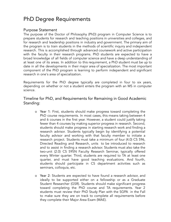# <span id="page-24-0"></span>PhD Degree Requirements

#### <span id="page-24-1"></span>Purpose Statement

The purpose of the Doctor of Philosophy (PhD) program in Computer Science is to prepare students for research and teaching positions in universities and colleges, and for research and leadership positions in industry and government. The primary aim of the program is to train students in the methods of scientific inquiry and independent research. This is accomplished through advanced coursework and active participation with the faculty in their research programs. PhD students are expected to have a broad knowledge of all fields of computer science and have a deep understanding of at least one of its areas. In addition to this requirement, a PhD student must be up to date in all the developments in their major area of specialization. The most important component of the PhD program is learning to perform independent and significant research in one's area of specialization.

Requirements for the PhD degree typically are completed in four to six years, depending on whether or not a student enters the program with an MS in computer science.

## <span id="page-24-2"></span>Timeline for PhD, and Requirements for Remaining in Good Academic Standing:

- o Year 1: First, students should make progress toward completing the PhD course requirements. In most cases, this means taking between 4 and 6 courses in the first year. However, a student could justify taking fewer than 4 courses by making superior progress in research. Second, students should make progress in starting research work and finding a research advisor. Students typically begin by identifying a potential faculty advisor and working with that faculty member to initiate a research project. Students must take a minimum of four (4.0) CS 596, Directed Reading and Research, units to be introduced to research and to assist in finding a research advisor. Students must also take the two-unit (2.0) CS 595N Faculty Research Seminar, typically offered every Winter quarter. Third, students are required to TA at least one quarter, and must have good teaching evaluations. And fourth, students should participate in CS department activities such as seminars, colloquia, etc.
- o Year 2: Students are expected to have found a research advisor, and ideally to be supported either on a fellowship or as a Graduate Student Researcher (GSR). Students should make significant progress toward completing the PhD course and TA requirements. Year 2 students must review their PhD Study Plan with the SGPA in the Fall to make sure they are on track to complete all requirements before they complete their Major Area Exam (MAE).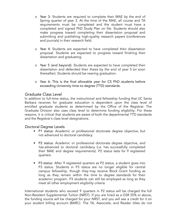- o Year 3: Students are required to complete their MAE by the end of Spring quarter of year 3. At the time of the MAE, all course and TA requirements must be completed and the student must have a completed and signed PhD Study Plan on file. Students should also make progress toward completing their dissertation proposal and submitting and publishing high-quality research papers (conferences and journals) in their research field.
- o Year 4: Students are expected to have completed their dissertation proposal. Students are expected to progress toward finishing their dissertation and graduating.
- o Year 5 (and beyond): Students are expected to have completed their dissertation and defended their thesis by the end of year 5 (or soon thereafter). Students should be nearing graduation.
- o Year 6: This is the final allowable year for CS PhD students before exceeding University time-to-degree (TTD) standards.

# <span id="page-25-0"></span>Graduate Class Level

In addition to full-time status, the instructional and fellowship funding that UC Santa Barbara receives for graduate education is dependent upon the class level of enrolled graduate students as determined by the Office of the Registrar. The Graduate Division also uses class level to determine funding eligibility. For these reasons, it is critical that students are aware of both the departmental TTD standards and the Registrar's class level designations.

## <span id="page-25-1"></span>Doctoral Degree Levels

- P1 status: Academic or professional doctorate degree objective, but not advanced to doctoral candidacy.
- P2 status: Academic or professional doctorate degree objective, and has advanced to doctoral candidacy (i.e. has successfully completed their MAE and degree requirements). P2 status lasts for 9 registered quarters.
- P3 status: After 9 registered quarters as P2 status, a student goes into P3 status. Students in P3 status are no longer eligible for central campus fellowship, though they may receive Block Grant funding as long as they remain within the time to degree standards for their academic program. P3 students can still be employed as long as they meet all other employment eligibility criteria.

International students who exceed 9 quarters in P2 status will be charged the full Non-Resident Supplemental Tuition (NRST). If you are hired as a GSR 35% or above, the funding source will be charged for your NRST, and you will see a credit for it on your student billing account (BARC). The TA, Associate, and Reader titles do not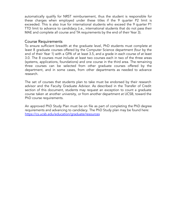automatically qualify for NRST reimbursement, thus the student is responsible for these charges when employed under these titles if the 9 quarter P2 limit is exceeded. This is also true for international students who exceed the 9 quarter P1 TTD limit to advance to candidacy (i.e., international students that do not pass their MAE and complete all course and TA requirements by the end of their Year 3).

#### <span id="page-26-0"></span>Course Requirements

To ensure sufficient breadth at the graduate level, PhD students must complete at least 8 graduate courses offered by the Computer Science department (four by the end of their Year 1) with a GPA of at least 3.5, and a grade in each course of at least 3.0. The 8 courses must include at least two courses each in two of the three areas (systems, applications, foundations) and one course in the third area. The remaining three courses can be selected from other graduate courses offered by the department, and in some cases, from other departments as needed to advance research.

The set of courses that students plan to take must be endorsed by their research advisor and the Faculty Graduate Advisor. As described in the Transfer of Credit section of this document, students may request an exception to count a graduate course taken at another university, or from another department at UCSB, toward the PhD course requirements.

An approved PhD Study Plan must be on file as part of completing the PhD degree requirements and advancing to candidacy. The PhD Study plan may be found here: <https://cs.ucsb.edu/education/graduate/resources>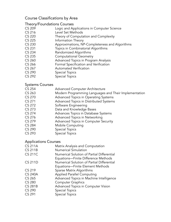# <span id="page-27-0"></span>Course Classifications by Area

#### <span id="page-27-1"></span>Theory/Foundations Courses

- CS 209 Logic and Applications in Computer Science
- CS 216 Level Set Methods
- CS 220 Theory of Computation and Complexity
- CS 225 Information Theory
- CS 230 Approximations, NP-Completeness and Algorithms
- CS 231 Topics in Combinatorial Algorithms
- CS 234 Randomized Algorithms
- CS 235 Computational Geometry
- CS 260 **Advanced Topics in Program Analysis**
- CS 266 Formal Specification and Verification
- CS 267 Automated Verification
- CS 290 Special Topics
- CS 292 Special Topics

## <span id="page-27-2"></span>Systems Courses

- CS 254 Advanced Computer Architecture
- CS 263 Modern Programming Languages and Their Implementation
- CS 270 Advanced Topics in Operating Systems
- CS 271 Advanced Topics in Distributed Systems
- CS 272 Software Engineering
- CS 273 Data and Knowledge Bases
- CS 274 Advances Topics in Database Systems
- CS 276 **Advanced Topics in Networking**
- CS 279 Advanced Topics in Computer Security
- CS 284 Mobile Computing
- CS 290 Special Topics
- CS 293 Special Topics

#### <span id="page-27-3"></span>Applications Courses

CS 211A Matrix Analysis and Computation CS 211B Numerical Simulation CS 211C Numerical Solution of Partial Differential Equations—Finite Difference Methods CS 211D Numerical Solution of Partial Differential Equations—Finite Element Methods CS 219 Sparse Matrix Algorithms CS 240A Applied Parallel Computing CS 265 **Advanced Topics in Machine Intelligence** CS 280 Computer Graphics CS 281B Advanced Topics in Computer Vision CS 290 Special Topics CS 291 Special Topics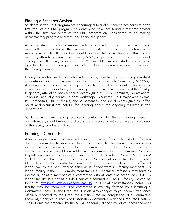# <span id="page-28-0"></span>Finding a Research Advisor

Students in the PhD program are encouraged to find a research advisor within the first year of the PhD program. Students who have not found a research advisor within the first two years of the PhD program are considered to be making unsatisfactory progress and may lose financial support.

As a first step in finding a research advisor, students should contact faculty and meet with them to discuss their research interests. Students who are interested in working with a faculty member should consider taking a class with that faculty member, attending research seminars (CS 595), or proposing to do an independent study project (CS 596). Also, attending MS and PhD exams of students supervised by a faculty member is a great way to learn about the current research interests of that faculty member.

During the winter quarter of each academic year, most faculty members give a short presentation on their research in the Faculty Research Seminar (CS 595N). Attendance in this seminar is required for first year PhD students. This seminar provides a great opportunity for learning about the research interests of the faculty. In general, attending both technical events (such as CS 595 seminars, departmental colloquia, annual graduate student workshop/CS Summit, PhD major area exams, PhD proposals, PhD defenses, and MS defenses) and social events (such as coffee hours and picnics) are helpful for learning about the ongoing research in the department.

Students who are having problems contacting faculty or finding research opportunities, should meet and discuss these problems with their academic advisor or the faculty Graduate Advisor.

# <span id="page-28-1"></span>Forming a Committee

After finding a research advisor and selecting an area of research, a student forms a doctoral committee to supervise dissertation research. The research advisor serves as the Chair or Co-chair of the doctoral committee. The doctoral committee must be chaired or co-chaired by a ladder faculty member from the Computer Science Department and should include a minimum of 3 UC Academic Senate Members; 2 (including the Chair) must be in Computer Science, although faculty from other UCSB departments may also be members. Computer Science department Affiliated ladder faculty are permitted to serve as is if they were CS faculty members. CS ladder faculty in the LSOE employment track (i.e., Teaching Professors) may serve as Co-chairs, or as a member of a committee with at least two other non-LSOE CS ladder faculty, but not as a sole Chair of a committee. The CS faculty list can be found at <https://cs.ucsb.edu/people/faculty>. In special circumstances, non-UCSB faculty may be members. The committee is officially formed by submitting a Committee Form I to the Graduate Division. Any changes to your committee, once officially reported to the Graduate Division, require completion of a Committee Form I-A, Changes in Thesis or Dissertation Committee with the Graduate Division. These forms are prepared by the SGPA, generally at the time of your advancement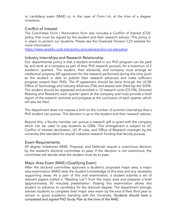to candidacy exam (MAE) or, in the case of Form I-A, at the time of a degree milestone.

# <span id="page-29-0"></span>Conflict of Interest

The Committee Form I Nomination form also includes a Conflict of Interest (COI) policy that must be signed by the student and their research advisor. This policy is in place to protect our students. Please see the Graduate Division COI website for more information.

<https://www.graddiv.ucsb.edu/policy-procedure/policy-coi-education>

## <span id="page-29-1"></span>Industry Internships and Research Relationship

Our departmental policy is that a student enrolled in our PhD program can be paid by and work at a company as part of their PhD research pursuits, for a maximum of 2 academic quarters. The student, their advisor(s), and company must arrange an intellectual property (IP) agreement for the research performed during this time (such as the student is able to publish their research advances and make sufficient progress toward their PhD). The IP agreement should be done through the UCSB Office of Technology and Industry Alliances (TIA) and shared with (filed by) the SGPA. The student should be registered and enrolled in 12 research units (CS 596, Directed Reading and Research) each quarter spent at the company and must provide a brief report of the research activities and progress at the conclusion of each quarter, which will also be filed.

The department does not impose a limit on the number of summer internships that a PhD student can pursue. This decision is up to the student and their research advisor.

Beyond this, a faculty member can pursue a research gift or grant with the company which can be used to pay students as GSRs. This arrangement is subject to UC Conflict of Interest declaration, UC IP rules, and Office of Research oversight by the university (the standard for any/all industrial research funding that faculty pursue).

## <span id="page-29-2"></span>Exam Requirements

All degree milestones (MAE, Proposal, and Defense) require a unanimous decision by the student's doctoral committee to pass. If the decision is not unanimous, the committee will decide what the student must do to pass.

# <span id="page-29-3"></span>Major Area Exam (MAE) (Qualifying Exam)

After the doctoral committee approves a student's proposed major area, a major area examination (MAE) tests the student's knowledge of this area and any necessary supporting areas. As a part of this oral examination, a student submits a set of relevant papers (called a "Reading List") from the major area and prepares a brief (approximately 50 minutes) presentation. Passing this examination allows this student to advance to candidacy for the doctoral degree. The department strongly advises students to complete their major area exam by the end of their third year to remain in good academic standing with the University. Students should have a completed and signed PhD Study Plan at the time of the MAE.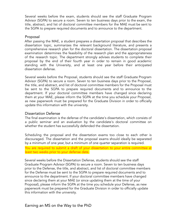Several weeks before the exam, students should see the staff Graduate Program Advisor (SGPA) to secure a room. Seven to ten business days prior to the exam, the title, abstract, and list of doctoral committee members for the MAE must be sent to the SGPA to prepare required documents and to announce to the department.

#### <span id="page-30-0"></span>Proposal

After passing the MAE, a student prepares a dissertation proposal that describes the dissertation topic, summarizes the relevant background literature, and presents a comprehensive research plan for the doctoral dissertation. The dissertation proposal examination determines the feasibility of the research plan and the appropriateness of the research topic. The department strongly advises students to complete their proposal by the end of their fourth year in order to remain in good academic standing with the University, and at least one year before their anticipated dissertation defense.

Several weeks before the Proposal, students should see the staff Graduate Program Advisor (SGPA) to secure a room. Seven to ten business days prior to the Proposal, the title, and abstract, and list of doctoral committee members for the Proposal must be sent to the SGPA to prepare required documents and to announce to the department. If your doctoral committee members have changed since declaring them at your MAE, please inform the SGPA at the time you schedule your Proposal, as new paperwork must be prepared for the Graduate Division in order to officially update this information with the university.

## <span id="page-30-1"></span>Dissertation Defense

The final examination is the defense of the candidate's dissertation, which consists of a public seminar and an evaluation by the candidate's doctoral committee on whether the student has successfully defended the dissertation.

Scheduling the proposal and the dissertation exams too close to each other is discouraged. The dissertation and the proposal exams should ideally be separated by a minimum of one year, but a minimum of one quarter separation is required.

You are required to submit a draft of your dissertation to your entire committee at least two weeks prior to your defense date.

<span id="page-30-2"></span>Several weeks before the Dissertation Defense, students should see the staff Graduate Program Advisor (SGPA) to secure a room. Seven to ten business days prior to the Defense, the title, and abstract, and list of doctoral committee members for the Defense must be sent to the SGPA to prepare required documents and to announce to the department. If your doctoral committee members have changed since declaring them at your MAE (or since updating them at the time of your Proposal), please inform the SGPA at the time you schedule your Defense, as new paperwork must be prepared for the Graduate Division in order to officially update this information with the university.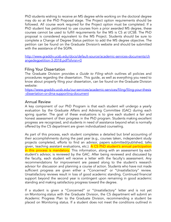PhD students wishing to receive an MS degree while working on the doctoral degree may do so at the PhD Proposal stage. The Project option requirements should be followed. All course work required for the Project option must be completed. If a PhD student has petitioned to use courses from a prior awarded MS degree, these courses cannot be used to fulfill requirements for the MS is CS at UCSB. The PhD proposal is considered equivalent to the MS Project. Students should be sure to complete a Change of Degree Status petition to add the MS degree objective. The petition can be found on the Graduate Division's website and should be submitted with the assistance of the SGPA.

[http://www.graddiv.ucsb.edu/docs/default-source/academic-services-documents/ch](http://www.graddiv.ucsb.edu/docs/default-source/academic-services-documents/changedegpetition-3-2018.pdf?sfvrsn=0) [angedegpetition-3-2018.pdf?sfvrsn=0](http://www.graddiv.ucsb.edu/docs/default-source/academic-services-documents/changedegpetition-3-2018.pdf?sfvrsn=0)

#### <span id="page-31-0"></span>Filing Your Dissertation

The Graduate Division provides a *Guide to Filing* which outlines all policies and procedures regarding the dissertation. This guide, as well as everything you need to know about properly filing your dissertation, can be found on the Graduate Division website:

[https://www.graddiv.ucsb.edu/our-services/academic-services/filing/filing-your-thesis](https://www.graddiv.ucsb.edu/our-services/academic-services/filing/filing-your-thesis-dissertation-or-dma-supporting-document) [-dissertation-or-dma-supporting-document](https://www.graddiv.ucsb.edu/our-services/academic-services/filing/filing-your-thesis-dissertation-or-dma-supporting-document)

#### <span id="page-31-1"></span>Annual Review

A key component of our PhD Program is that each student will undergo a yearly evaluation by the Graduate Affairs and Advising Committee (GAC) during each spring quarter. The goal of these evaluations is to give each student a fair and honest assessment of their progress in the PhD program. Students making excellent progress are recognized, and students in need of assistance beyond what is normally offered by the CS department are given individualized counseling.

As part of this process, each student completes a detailed but brief accounting of their accomplishments during the past year (e.g., courses taken, independent study projects completed, efforts to find an advisor, papers submitted/published, talks given, teaching assistant evaluations, etc.). A CS PhD student's annual participation in this process is mandatory. This information, along with an assessment by each student's advisor, is reviewed by the GAC. After being reviewed and discussed by the faculty, each student will receive a letter with the faculty's assessment. Any recommendations for improvement are passed along to the student's research advisor for discussion and planning a course of action. Students who have not made sufficient progress are given either a "Concerned" or "Unsatisfactory" review. Unsatisfactory reviews result in loss of good academic standing. Continued financial support beyond the second year is contingent upon remaining in good academic standing and making satisfactory progress toward the degree.

If a student is given a "Concerned" or "Unsatisfactory" letter and is not yet on Monitoring status with the Graduate Division, the CS department will submit an Academic Progress Plan to the Graduate Division, recommending a student be placed on Monitoring status. If a student does not meet the conditions outlined in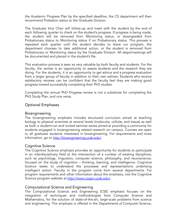the Academic Progress Plan by the specified deadline, the CS department will then recommend Probation status to the Graduate Division.

The Graduate Vice Chair will follow-up and meet with the student by the end of each following quarter to check on the student's progress. If progress is being made, the student will be removed from Monitoring status, or downgraded from Probationary status to Monitoring status if on Probationary status. This process is repeated each quarter until the student decides to leave our program, the department chooses to take additional action, or the student is removed from Probationary or Monitoring status by the Graduate Division. All steps/meetings will be documented and placed in the student's file.

This evaluation process is seen as very valuable by both faculty and students. For the faculty, the review is an opportunity to assess students and the research they are doing. For the students, it is an opportunity to get advice and a progress evaluation from a larger group of faculty in addition to their own advisor. Students who receive satisfactory reviews can be confident that the faculty feel they are making good progress toward successfully completing their PhD studies.

Completing the annual PhD Progress review is not a substitute for completing the PhD Study Plan, and vice versa.

# <span id="page-32-0"></span>Optional Emphases

#### <span id="page-32-1"></span>Bioengineering

The bioengineering emphasis includes structured curriculum aimed at teaching biology to physical scientists at several levels (molecular, cellular, and tissue) as well as both a student-run and invited seminar series aimed at providing a community for students engaged in bioengineering related research on campus. Courses are open to all graduate students interested in bioengineering. For requirements and more information, go to [http://bioengineering.ucsb.edu/.](http://bioengineering.ucsb.edu/)

## <span id="page-32-2"></span>Cognitive Science

The Cognitive Science emphasis provides an opportunity for students to participate in an interdisciplinary field at the intersection of a number of existing disciplines, such as psychology, linguistics, computer science, philosophy, and neuroscience, focused on the study of cognition – thinking, learning, and intelligence. Cognitive Science seeks to understand the processes and representations underlying intelligent action. Faculty in the program come from several departments. For program requirements and other information about the emphasis, visit the Cognitive Science program website at [http://www.cogsci.ucsb.edu/.](http://www.cogsci.ucsb.edu/)

## <span id="page-32-3"></span>Computational Science and Engineering

The Computational Science and Engineering (CSE) emphasis focuses on the integration of techniques and methodologies from Computer Science and Mathematics, for the solution of state-of-the-art, large-scale problems from science and engineering. The emphasis is offered in the Departments of Computer Science,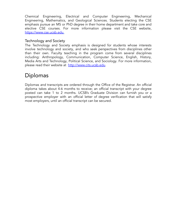Chemical Engineering, Electrical and Computer Engineering, Mechanical Engineering, Mathematics, and Geological Sciences. Students electing the CSE emphasis pursue an MS or PhD degree in their home department and take core and elective CSE courses. For more information please visit the CSE website, [https://www.cse.ucsb.edu.](https://cse.ucsb.edu/)

## <span id="page-33-0"></span>Technology and Society

The Technology and Society emphasis is designed for students whose interests involve technology and society, and who seek perspectives from disciplines other than their own. Faculty teaching in the program come from several disciplines including: Anthropology, Communication, Computer Science, English, History, Media Arts and Technology, Political Science, and Sociology. For more information, please read their website at [http://www.cits.ucsb.edu.](http://www.cits.ucsb.edu/)

# <span id="page-33-1"></span>Diplomas

Diplomas and transcripts are ordered through the Office of the Registrar. An official diploma takes about 4-6 months to receive; an official transcript with your degree posted can take 1 to 2 months. UCSB's Graduate Division can furnish you or a prospective employer with an official letter of degree verification that will satisfy most employers, until an official transcript can be secured.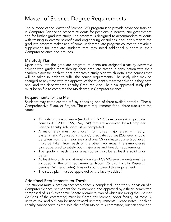# <span id="page-34-0"></span>Master of Science Degree Requirements

The purpose of the Master of Science (MS) program is to provide advanced training in Computer Science to prepare students for positions in industry and government and for further graduate study. The program is designed to accommodate students with training in diverse scientific and engineering disciplines, and in this regard the graduate program makes use of some undergraduate program courses to provide a supplement for graduate students that may need additional support in their Computer Science backgrounds.

# <span id="page-34-1"></span>MS Study Plan

Upon entry into the graduate program, students are assigned a faculty *academic* advisor who guides them through their graduate career. In consultation with their academic advisor, each student prepares a study plan which details the courses that will be taken in order to fulfill the course requirements. The study plan may be changed at any time with the approval of the student's *research* advisor (if they have one) and the department's Faculty Graduate Vice Chair. An approved study plan must be on file to complete the MS degree in Computer Science.

## <span id="page-34-2"></span>Requirements for the MS

Students may complete the MS by choosing one of three available tracks—Thesis, Comprehensive Exam, or Project. The core requirements for all three tracks are the same:

- 42 units of upper-division (excluding CS 193 level courses) or graduate courses (CS 200+, 595, 596, 598) that are approved by a Computer Science Faculty Advisor must be completed.
- A major area must be chosen from three major areas -- Theory, Systems, and Applications. Four CS graduate courses (200 level) should be taken from the major area and one CS graduate course (200 level) must be taken from each of the other two areas. The same course cannot be used to satisfy both major area and breadth requirements.
- The grade in each major area course must be at least a solid B or better.
- At least two units and at most six units of CS 595 seminar units must be included in the unit requirements. Note: CS 595 Faculty Research Seminar (Winter quarter) does not count toward this requirement.
- The study plan must be approved by the faculty advisor.

## <span id="page-34-3"></span>Additional Requirements for Thesis

The student must submit an acceptable thesis, completed under the supervision of a Computer Science permanent faculty member, and approved by a thesis committee composed of 3 UC Academic Senate Members, two of which (including the Chair or Co-Chair of the committee) must be Computer Science ladder faculty. At most 12 units of 596 and 598 can be used toward unit requirements. Please note: Teaching Faculty cannot serve as the sole chair of an MS or PhD committee, but can serve as a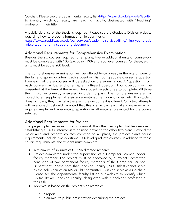Co-chair. Please see the departmental faculty list [\(https://cs.ucsb.edu/people/faculty](https://cs.ucsb.edu/people/faculty)) to identify which CS faculty are Teaching Faculty, designated with "Teaching" professor in their title.

A public defense of the thesis is required. Please see the Graduate Division website regarding how to properly format and file your thesis: [https://www.graddiv.ucsb.edu/our-services/academic-services/filing/filing-your-thesis](https://www.graddiv.ucsb.edu/our-services/academic-services/filing/filing-your-thesis-dissertation-or-dma-supporting-document) [-dissertation-or-dma-supporting-document](https://www.graddiv.ucsb.edu/our-services/academic-services/filing/filing-your-thesis-dissertation-or-dma-supporting-document)

## <span id="page-35-0"></span>Additional Requirements for Comprehensive Examination

Besides the six courses required for all plans, twelve additional units of coursework must be completed with 100 (excluding 193) and 200 level courses. Of these, eight units must be at the 200 level.

The comprehensive examination will be offered twice a year, in the eighth week of the fall and spring quarters. Each student will list four graduate courses: a question from each of these courses will be asked on the examination. A "question" from each course may be, and often is, a multi-part question. Four questions will be presented at the time of the exam. The student selects three to complete. All three then must be correctly answered in order to pass. The comprehensive exam is closed to all supplemental assistance material, i.e. books, notes, etc. If a student does not pass, they may take the exam the next time it is offered. Only two attempts will be allowed. It should be noted that this is an extremely challenging exam which requires ample and adequate preparation in all material presented for the course selected.

# <span id="page-35-1"></span>Additional Requirements for Project

The project plan requires more coursework than the thesis plan but less research, establishing a useful intermediate position between the other two plans. Beyond the major area and breadth courses common to all plans, the project plan's course requirements include two additional 200 level graduate courses. In addition to these course requirements, the student must complete:

- A minimum of six units of CS 596 directed research.
- Project completed under the supervision of a Computer Science ladder faculty member. The project must be approved by a Project Committee consisting of two permanent faculty members of the Computer Science Department. Please note that Teaching Faculty (LSOE titles) cannot serve as the sole chair of an MS or PhD committee, but can serve as a Co-chair. Please see the departmental faculty list on our website to identify which CS faculty are Teaching Faculty, designated with "Teaching" professor in their title.
- Approval is based on the project's deliverables:
	- a report
	- a 30-minute public presentation describing the project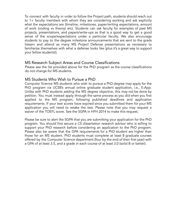To connect with faculty in order to follow the Project path, students should reach out to 1+ faculty members with whom they are considering working and ask explicitly what the expectations are (timeline, milestones, paper/writing expectations, amount of work (coding vs theory) etc). Students can ask faculty for examples of past MS projects, presentations, and papers/write-ups as that is a good way to get a good sense of the scope/expectations under a particular faculty. We also encourage students to pay to the degree milestone announcements that are sent to the grads listserv and attend as many MS Project Defense presentations as necessary to familiarize themselves with what a defense looks like (plus it's a great way to support your fellow students!).

## <span id="page-36-0"></span>MS Research Subject Areas and Course Classifications

Please see the list provided above for the PhD program as the course classifications do not change for MS students.

## <span id="page-36-1"></span>MS Students Who Wish to Pursue a PhD

Computer Science MS students who wish to pursue a PhD degree may apply for the PhD program via UCSB's annual online graduate student application, i.e., E-App. Unlike with PhD students adding the MS degree objective, this may not be done by petition. You must instead apply through the same process as you did when you first applied to the MS program, following published deadlines and application requirements. If your test scores have expired since you submitted them for your MS application you will need to retake the test. Please note that you may request a waiver of the TOEFL score. See the SGPA in HFH 2014 to make this request.

Please be sure to alert the SGPA that you are submitting your application for the PhD program. You should first secure a CS dissertation research advisor who is willing to support your PhD research before considering an application to the PhD program. Please also be aware that the GPA requirements for a PhD student are higher than those for an MS student. PhD students must complete at least 8 graduate courses offered by the Computer Science department (four by the end of their first year) with a GPA of at least 3.5, and a grade in each course of at least 3.0 (solid B or better).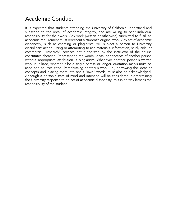# <span id="page-37-0"></span>Academic Conduct

It is expected that students attending the University of California understand and subscribe to the ideal of academic integrity, and are willing to bear individual responsibility for their work. Any work (written or otherwise) submitted to fulfill an academic requirement must represent a student's original work. Any act of academic dishonesty, such as cheating or plagiarism, will subject a person to University disciplinary action. Using or attempting to use materials, information, study aids, or commercial "research" services not authorized by the instructor of the course constitutes cheating. Representing the words, ideas, or concepts of another person without appropriate attribution is plagiarism. Whenever another person's written work is utilized, whether it be a single phrase or longer, quotation marks must be used and sources cited. Paraphrasing another's work, i.e., borrowing the ideas or concepts and placing them into one's "own" words, must also be acknowledged. Although a person's state of mind and intention will be considered in determining the University response to an act of academic dishonesty, this in no way lessens the responsibility of the student.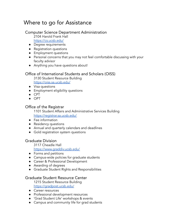# <span id="page-38-0"></span>Where to go for Assistance

# <span id="page-38-1"></span>Computer Science Department Administration

2104 Harold Frank Hall <https://cs.ucsb.edu/>

- Degree requirements
- Registration questions
- Employment questions
- Personal concerns that you may not feel comfortable discussing with your faculty advisor
- Anything you have questions about!

## <span id="page-38-2"></span>Office of International Students and Scholars (OISS)

3130 Student Resource Building [https://oiss.sa.ucsb.edu/](https://oiss.ucsb.edu/)

- Visa questions
- Employment eligibility questions
- CPT
- OPT

## <span id="page-38-3"></span>Office of the Registrar

1101 Student Affairs and Administrative Services Building <https://registrar.sa.ucsb.edu/>

- Fee information
- Residency questions
- Annual and quarterly calendars and deadlines
- Gold registration system questions

# <span id="page-38-4"></span>Graduate Division

3117 Cheadle Hall

<https://www.graddiv.ucsb.edu/>

- Forms and petitions
- Campus-wide policies for graduate students
- Career & Professional Development
- Awarding of degrees
- Graduate Student Rights and Responsibilities

## <span id="page-38-5"></span>Graduate Student Resource Center

1215 Student Resource Building [https://gradpost.ucsb.edu/](https://www.gradpost.ucsb.edu/)

- Career resources
- Professional development resources
- 'Grad Student Life' workshops & events
- Campus and community life for grad students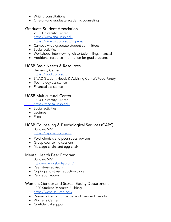- Writing consultations
- One-on-one graduate academic counseling

# <span id="page-39-0"></span>Graduate Student Association

2502 University Center [https://www.gsa.ucsb.edu](https://gsa.ucsb.edu/) [https://www.cs.ucsb.edu/~greps/](https://sites.cs.ucsb.edu/~greps/)

- Campus-wide graduate student committees
- Social activities
- Workshops: interviewing, dissertation filing, financial
- Additional resource information for grad students

# <span id="page-39-1"></span>UCSB Basic Needs & Resources

University Center https://<u>food.ucsb.edu/</u>

- SNAC (Student Needs & Advising Center)/Food Pantry
- **•** Technology assistance
- Financial assistance

# <span id="page-39-2"></span>UCSB Multicultural Center

1504 University Center

[https://mcc.sa.ucsb.edu](https://mcc.sa.ucsb.edu/)

- Social activities
- Lectures
- Films

# <span id="page-39-3"></span>UCSB Counseling & Psychological Services (CAPS)

Building 599 <https://caps.sa.ucsb.edu/>

- Psychologists and peer stress advisors
- Group counseling sessions
- Massage chairs and egg chair

# <span id="page-39-4"></span>Mental Health Peer Program

Building 599

<http://www.ucsbmhp.com/>

- Peer stress advisors
- Coping and stress reduction tools
- Relaxation rooms

# <span id="page-39-5"></span>Women, Gender and Sexual Equity Department

1220 Student Resource Building <https://wgse.sa.ucsb.edu/>

- Resource Center for Sexual and Gender Diversity
- Women's Center
- Confidential support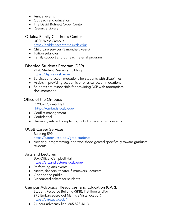- Annual events
- Outreach and education
- The David Bohnett Cyber Center
- Resource Library

## <span id="page-40-0"></span>Orfalea Family Children's Center

UCSB West Campus <https://childrenscenter.sa.ucsb.edu/>

- Child care services (3 months-5 years)
- Tuition subsidies
- Family support and outreach referral program

## <span id="page-40-1"></span>Disabled Students Program (DSP)

2120 Student Resource Building <https://dsp.sa.ucsb.edu/>

- Services and accommodations for students with disabilities
- Assists in providing academic or physical accommodations
- Students are responsible for providing DSP with appropriate documentation

# <span id="page-40-2"></span>Office of the Ombuds

1205-K Girvetz Hall <https://ombuds.ucsb.edu/>

- Conflict management
- Confidential
- University related complaints, including academic concerns

## <span id="page-40-3"></span>UCSB Career Services

Building 599

<https://career.ucsb.edu/grad-students>

● Advising, programming, and workshops geared specifically toward graduate students

#### <span id="page-40-4"></span>Arts and Lectures

Box Office: Campbell Hall <https://artsandlectures.ucsb.edu/>

- Performing arts events
- Artists, dancers, theater, filmmakers, lecturers
- Open to the public
- Discounted tickets for students

## <span id="page-40-5"></span>Campus Advocacy, Resources, and Education (CARE)

Student Resource Building (SRB), first floor and/or 970 Embarcadero del Mar (Isla Vista location) <https://care.ucsb.edu/>

● 24 hour advocacy line: 805.893.4613